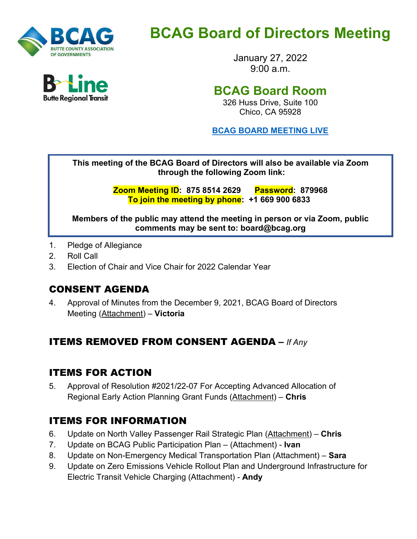

# **BCAG Board of Directors Meeting**

January 27, 2022  $9.00 a m$ 

## **BCAG Board Room**

326 Huss Drive, Suite 100 Chico, CA 95928

**BCAG BOARD [MEETING LIVE](https://us02web.zoom.us/j/87585142629?pwd=UVZtemgvbGRpTmxZTm9jUjdmZ1pxUT09)**

**This meeting of the BCAG Board of Directors will also be available via Zoom through the following Zoom link:** 

> **Zoom Meeting ID: 875 8514 2629 Password: 879968 To join the meeting by phone: +1 669 900 6833**

**Members of the public may attend the meeting in person or via Zoom, public comments may be sent to: board@bcag.org**

- 1. Pledge of Allegiance
- 2. Roll Call
- 3. Election of Chair and Vice Chair for 2022 Calendar Year

## CONSENT AGENDA

4. Approval of Minutes from the December 9, 2021, BCAG Board of Directors Meeting (Attachment) – **Victoria**

## ITEMS REMOVED FROM CONSENT AGENDA **–** *If Any*

## ITEMS FOR ACTION

5. Approval of Resolution #2021/22-07 For Accepting Advanced Allocation of Regional Early Action Planning Grant Funds (Attachment) – **Chris**

## ITEMS FOR INFORMATION

- 6. Update on North Valley Passenger Rail Strategic Plan (Attachment) **Chris**
- 7. Update on BCAG Public Participation Plan (Attachment) **Ivan**
- 8. Update on Non-Emergency Medical Transportation Plan (Attachment) **Sara**
- 9. Update on Zero Emissions Vehicle Rollout Plan and Underground Infrastructure for Electric Transit Vehicle Charging (Attachment) - **Andy**